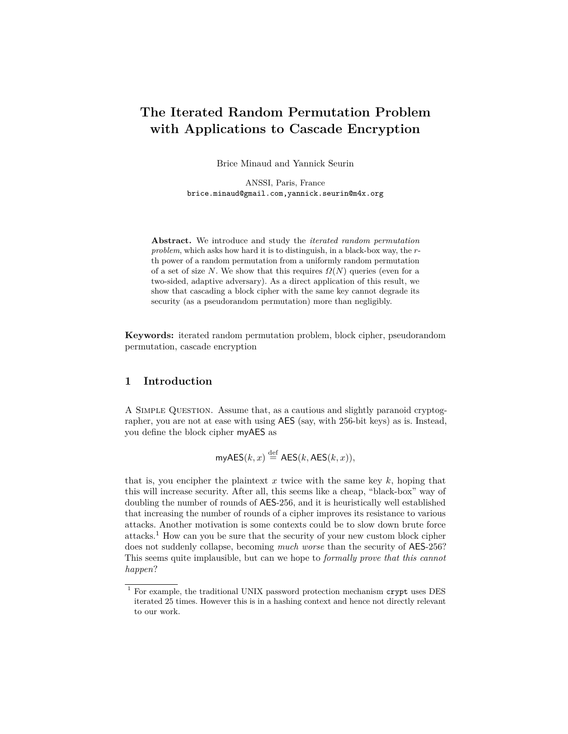# **The Iterated Random Permutation Problem with Applications to Cascade Encryption**

Brice Minaud and Yannick Seurin

ANSSI, Paris, France brice.minaud@gmail.com,yannick.seurin@m4x.org

**Abstract.** We introduce and study the *iterated random permutation problem*, which asks how hard it is to distinguish, in a black-box way, the *r*th power of a random permutation from a uniformly random permutation of a set of size *N*. We show that this requires  $\Omega(N)$  queries (even for a two-sided, adaptive adversary). As a direct application of this result, we show that cascading a block cipher with the same key cannot degrade its security (as a pseudorandom permutation) more than negligibly.

**Keywords:** iterated random permutation problem, block cipher, pseudorandom permutation, cascade encryption

## **1 Introduction**

A Simple Question. Assume that, as a cautious and slightly paranoid cryptographer, you are not at ease with using AES (say, with 256-bit keys) as is. Instead, you define the block cipher myAES as

$$
\mathsf{myAES}(k, x) \stackrel{\text{def}}{=} \mathsf{AES}(k, \mathsf{AES}(k, x)),
$$

that is, you encipher the plaintext  $x$  twice with the same key  $k$ , hoping that this will increase security. After all, this seems like a cheap, "black-box" way of doubling the number of rounds of AES-256, and it is heuristically well established that increasing the number of rounds of a cipher improves its resistance to various attacks. Another motivation is some contexts could be to slow down brute force attacks.<sup>1</sup> How can you be sure that the security of your new custom block cipher does not suddenly collapse, becoming *much worse* than the security of AES-256? This seems quite implausible, but can we hope to *formally prove that this cannot happen*?

 $^{\rm 1}$  For example, the traditional UNIX password protection mechanism crypt uses DES iterated 25 times. However this is in a hashing context and hence not directly relevant to our work.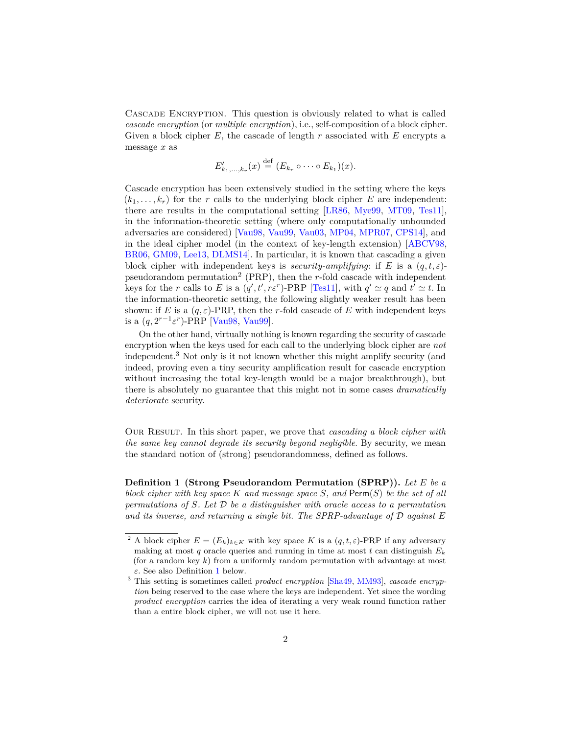Cascade Encryption. This question is obviously related to what is called *cascade encryption* (or *multiple encryption*), i.e., self-composition of a block cipher. Given a block cipher *E*, the cascade of length *r* associated with *E* encrypts a message *x* as

$$
E'_{k_1,\ldots,k_r}(x) \stackrel{\text{def}}{=} (E_{k_r} \circ \cdots \circ E_{k_1})(x).
$$

Cascade encryption has been extensively studied in the setting where the keys  $(k_1, \ldots, k_r)$  for the *r* calls to the underlying block cipher *E* are independent: there are results in the computational setting [\[LR86,](#page-14-0) [Mye99,](#page-15-0) [MT09,](#page-15-1) [Tes11\]](#page-15-2), in the information-theoretic setting (where only computationally unbounded adversaries are considered) [\[Vau98,](#page-15-3) [Vau99,](#page-15-4) [Vau03,](#page-15-5) [MP04,](#page-14-1) [MPR07,](#page-14-2) [CPS14\]](#page-14-3), and in the ideal cipher model (in the context of key-length extension) [\[ABCV98,](#page-13-0) [BR06,](#page-14-4) [GM09,](#page-14-5) [Lee13,](#page-14-6) [DLMS14\]](#page-14-7). In particular, it is known that cascading a given block cipher with independent keys is *security-amplifying*: if *E* is a (*q, t, ε*) pseudorandom permutation<sup>2</sup> (PRP), then the *r*-fold cascade with independent keys for the *r* calls to *E* is a  $(q', t', r\varepsilon^r)$ -PRP [\[Tes11\]](#page-15-2), with  $q' \simeq q$  and  $t' \simeq t$ . In the information-theoretic setting, the following slightly weaker result has been shown: if *E* is a  $(q, \varepsilon)$ -PRP, then the *r*-fold cascade of *E* with independent keys is a  $(q, 2^{r-1} \varepsilon^r)$ -PRP [\[Vau98,](#page-15-3) [Vau99\]](#page-15-4).

On the other hand, virtually nothing is known regarding the security of cascade encryption when the keys used for each call to the underlying block cipher are *not* independent.<sup>3</sup> Not only is it not known whether this might amplify security (and indeed, proving even a tiny security amplification result for cascade encryption without increasing the total key-length would be a major breakthrough), but there is absolutely no guarantee that this might not in some cases *dramatically deteriorate* security.

Our Result. In this short paper, we prove that *cascading a block cipher with the same key cannot degrade its security beyond negligible*. By security, we mean the standard notion of (strong) pseudorandomness, defined as follows.

<span id="page-1-0"></span>**Definition 1 (Strong Pseudorandom Permutation (SPRP)).** *Let E be a block cipher with key space K and message space S, and* Perm(*S*) *be the set of all permutations of S. Let* D *be a distinguisher with oracle access to a permutation and its inverse, and returning a single bit. The SPRP-advantage of* D *against E*

<sup>&</sup>lt;sup>2</sup> A block cipher  $E = (E_k)_{k \in K}$  with key space *K* is a  $(q, t, \varepsilon)$ -PRP if any adversary making at most  $q$  oracle queries and running in time at most  $t$  can distinguish  $E_k$ (for a random key *k*) from a uniformly random permutation with advantage at most *ε*. See also Definition [1](#page-1-0) below.

<sup>3</sup> This setting is sometimes called *product encryption* [\[Sha49,](#page-15-6) [MM93\]](#page-14-8), *cascade encryption* being reserved to the case where the keys are independent. Yet since the wording *product encryption* carries the idea of iterating a very weak round function rather than a entire block cipher, we will not use it here.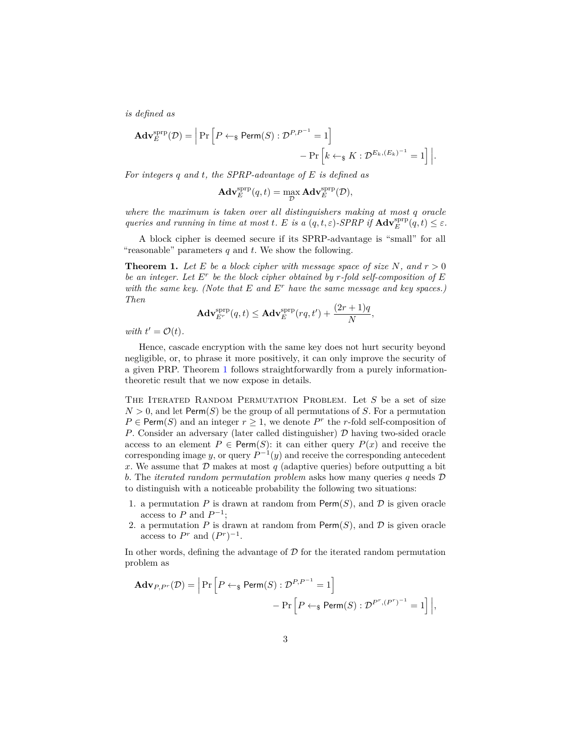*is defined as*

$$
\mathbf{Adv}_{E}^{\text{sprp}}(\mathcal{D}) = \left| \Pr \left[ P \leftarrow_{\$} \mathsf{Perm}(S) : \mathcal{D}^{P,P^{-1}} = 1 \right] - \Pr \left[ k \leftarrow_{\$} K : \mathcal{D}^{E_k, (E_k)^{-1}} = 1 \right] \right|.
$$

*For integers q and t, the SPRP-advantage of E is defined as*

$$
\mathbf{Adv}_{E}^{\text{sprp}}(q,t) = \max_{\mathcal{D}} \mathbf{Adv}_{E}^{\text{sprp}}(\mathcal{D}),
$$

*where the maximum is taken over all distinguishers making at most q oracle queries and running in time at most t. E is a*  $(q, t, \varepsilon)$ -*SPRP if*  $\mathbf{Adv}_{E}^{\text{prp}}(q, t) \leq \varepsilon$ .

A block cipher is deemed secure if its SPRP-advantage is "small" for all "reasonable" parameters *q* and *t*. We show the following.

<span id="page-2-0"></span>**Theorem 1.** Let E be a block cipher with message space of size N, and  $r > 0$ *be an integer. Let*  $E^r$  *be the block cipher obtained by r-fold self-composition of*  $E$ *with the same key. (Note that E and E<sup>r</sup> have the same message and key spaces.) Then*

$$
\mathbf{Adv}_{E^r}^{\text{sprp}}(q,t) \le \mathbf{Adv}_{E}^{\text{sprp}}(rq,t') + \frac{(2r+1)q}{N},
$$

*with*  $t' = \mathcal{O}(t)$ .

Hence, cascade encryption with the same key does not hurt security beyond negligible, or, to phrase it more positively, it can only improve the security of a given PRP. Theorem [1](#page-2-0) follows straightforwardly from a purely informationtheoretic result that we now expose in details.

THE ITERATED RANDOM PERMUTATION PROBLEM. Let *S* be a set of size  $N > 0$ , and let Perm $(S)$  be the group of all permutations of *S*. For a permutation  $P \in \text{Perm}(S)$  and an integer  $r \geq 1$ , we denote  $P^r$  the *r*-fold self-composition of *P*. Consider an adversary (later called distinguisher)  $D$  having two-sided oracle access to an element  $P \in \text{Perm}(S)$ : it can either query  $P(x)$  and receive the corresponding image *y*, or query  $P^{-1}(y)$  and receive the corresponding antecedent x. We assume that  $D$  makes at most  $q$  (adaptive queries) before outputting a bit *b*. The *iterated random permutation problem* asks how many queries *q* needs D to distinguish with a noticeable probability the following two situations:

- 1. a permutation  $P$  is drawn at random from  $\text{Perm}(S)$ , and  $\mathcal D$  is given oracle access to *P* and  $P^{-1}$ ;
- 2. a permutation  $P$  is drawn at random from  $\mathsf{Perm}(S)$ , and  $\mathcal D$  is given oracle access to  $P^r$  and  $(P^r)^{-1}$ .

In other words, defining the advantage of  $\mathcal D$  for the iterated random permutation problem as

$$
\mathbf{Adv}_{P,P^r}(\mathcal{D}) = \left| \Pr \left[ P \leftarrow_{\$} \mathsf{Perm}(S) : \mathcal{D}^{P,P^{-1}} = 1 \right] - \Pr \left[ P \leftarrow_{\$} \mathsf{Perm}(S) : \mathcal{D}^{P^r,(P^r)^{-1}} = 1 \right] \right|,
$$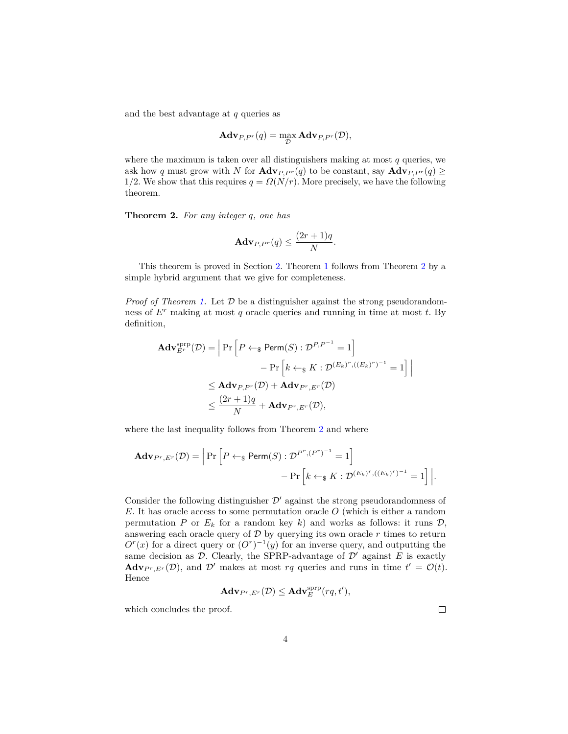and the best advantage at *q* queries as

$$
\mathbf{Adv}_{P,P^r}(q) = \max_{\mathcal{D}} \mathbf{Adv}_{P,P^r}(\mathcal{D}),
$$

where the maximum is taken over all distinguishers making at most  $q$  queries, we ask how *q* must grow with *N* for  $\mathbf{Adv}_{P,P^r}(q)$  to be constant, say  $\mathbf{Adv}_{P,P^r}(q) \geq$ 1/2. We show that this requires  $q = \Omega(N/r)$ . More precisely, we have the following theorem.

<span id="page-3-0"></span>**Theorem 2.** *For any integer q, one has*

$$
\mathbf{Adv}_{P,P^r}(q) \le \frac{(2r+1)q}{N}.
$$

This theorem is proved in Section [2.](#page-5-0) Theorem [1](#page-2-0) follows from Theorem [2](#page-3-0) by a simple hybrid argument that we give for completeness.

*Proof of Theorem [1.](#page-2-0)* Let  $D$  be a distinguisher against the strong pseudorandomness of *E<sup>r</sup>* making at most *q* oracle queries and running in time at most *t*. By definition,

$$
\mathbf{Adv}_{E^r}^{\text{prp}}(\mathcal{D}) = \left| \Pr \left[ P \leftarrow_{\$} \text{Perm}(S) : \mathcal{D}^{P,P^{-1}} = 1 \right] \right. \\ \left. \qquad \qquad \left. - \Pr \left[ k \leftarrow_{\$} K : \mathcal{D}^{(E_k)^r, ((E_k)^r)^{-1}} = 1 \right] \right| \\ \leq \mathbf{Adv}_{P,P^r}(\mathcal{D}) + \mathbf{Adv}_{P^r,E^r}(\mathcal{D}) \\ \leq \frac{(2r+1)q}{N} + \mathbf{Adv}_{P^r,E^r}(\mathcal{D}),
$$

where the last inequality follows from Theorem [2](#page-3-0) and where

$$
\mathbf{Adv}_{P^r, E^r}(\mathcal{D}) = \left| \Pr \left[ P \leftarrow_{\$} \mathsf{Perm}(S) : \mathcal{D}^{P^r, (P^r)^{-1}} = 1 \right] - \Pr \left[ k \leftarrow_{\$} K : \mathcal{D}^{(E_k)^r, ((E_k)^r)^{-1}} = 1 \right] \right|.
$$

Consider the following distinguisher  $\mathcal{D}'$  against the strong pseudorandomness of *E*. It has oracle access to some permutation oracle *O* (which is either a random permutation *P* or  $E_k$  for a random key *k*) and works as follows: it runs  $\mathcal{D}$ , answering each oracle query of  $D$  by querying its own oracle  $r$  times to return  $O<sup>r</sup>(x)$  for a direct query or  $(O<sup>r</sup>)<sup>-1</sup>(y)$  for an inverse query, and outputting the same decision as  $\mathcal{D}$ . Clearly, the SPRP-advantage of  $\mathcal{D}'$  against *E* is exactly  $\mathbf{Adv}_{P^r, E^r}(\mathcal{D})$ , and  $\mathcal{D}'$  makes at most *rq* queries and runs in time  $t' = \mathcal{O}(t)$ . Hence

$$
\mathbf{Adv}_{P^r,E^r}(\mathcal{D}) \leq \mathbf{Adv}_{E}^{\text{sprp}}(rq,t'),
$$

which concludes the proof.

 $\Box$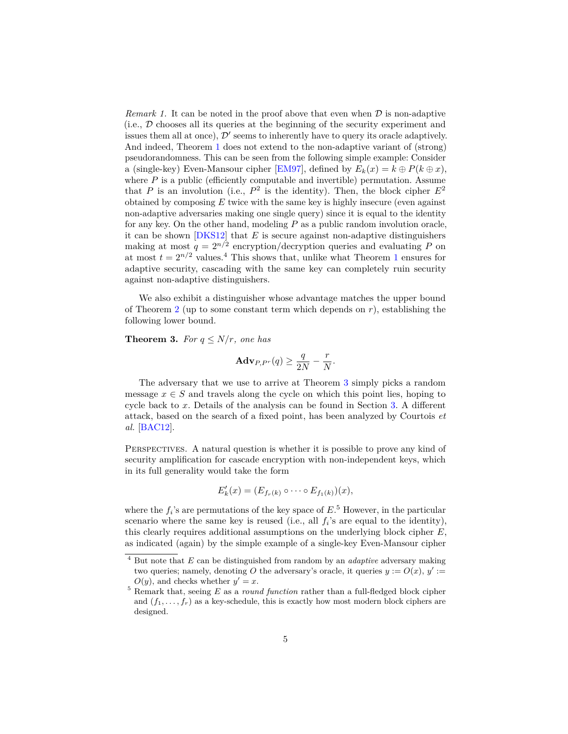*Remark 1.* It can be noted in the proof above that even when  $\mathcal{D}$  is non-adaptive (i.e.,  $\mathcal D$  chooses all its queries at the beginning of the security experiment and issues them all at once),  $\mathcal{D}'$  seems to inherently have to query its oracle adaptively. And indeed, Theorem [1](#page-2-0) does not extend to the non-adaptive variant of (strong) pseudorandomness. This can be seen from the following simple example: Consider a (single-key) Even-Mansour cipher [\[EM97\]](#page-14-9), defined by  $E_k(x) = k \oplus P(k \oplus x)$ , where  $P$  is a public (efficiently computable and invertible) permutation. Assume that *P* is an involution (i.e.,  $P^2$  is the identity). Then, the block cipher  $E^2$ obtained by composing *E* twice with the same key is highly insecure (even against non-adaptive adversaries making one single query) since it is equal to the identity for any key. On the other hand, modeling *P* as a public random involution oracle, it can be shown [\[DKS12\]](#page-14-10) that *E* is secure against non-adaptive distinguishers making at most  $q = 2^{n/2}$  encryption/decryption queries and evaluating P on at most  $t = 2^{n/2}$  values.<sup>4</sup> This shows that, unlike what Theorem [1](#page-2-0) ensures for adaptive security, cascading with the same key can completely ruin security against non-adaptive distinguishers.

We also exhibit a distinguisher whose advantage matches the upper bound of Theorem [2](#page-3-0) (up to some constant term which depends on  $r$ ), establishing the following lower bound.

<span id="page-4-0"></span>**Theorem 3.** *For*  $q \leq N/r$ *, one has* 

$$
\mathbf{Adv}_{P,P^r}(q) \ge \frac{q}{2N} - \frac{r}{N}.
$$

The adversary that we use to arrive at Theorem [3](#page-4-0) simply picks a random message  $x \in S$  and travels along the cycle on which this point lies, hoping to cycle back to *x*. Details of the analysis can be found in Section [3.](#page-11-0) A different attack, based on the search of a fixed point, has been analyzed by Courtois *et al.* [\[BAC12\]](#page-13-1).

PERSPECTIVES. A natural question is whether it is possible to prove any kind of security amplification for cascade encryption with non-independent keys, which in its full generality would take the form

$$
E'_{k}(x)=(E_{f_r(k)}\circ\cdots\circ E_{f_1(k)})(x),
$$

where the  $f_i$ 's are permutations of the key space of  $E$ <sup>5</sup>. However, in the particular scenario where the same key is reused (i.e., all  $f_i$ 's are equal to the identity), this clearly requires additional assumptions on the underlying block cipher *E*, as indicated (again) by the simple example of a single-key Even-Mansour cipher

<sup>4</sup> But note that *E* can be distinguished from random by an *adaptive* adversary making two queries; namely, denoting O the adversary's oracle, it queries  $y := O(x)$ ,  $y' :=$  $O(y)$ , and checks whether  $y' = x$ .

<sup>&</sup>lt;sup>5</sup> Remark that, seeing *E* as a *round function* rather than a full-fledged block cipher and  $(f_1, \ldots, f_r)$  as a key-schedule, this is exactly how most modern block ciphers are designed.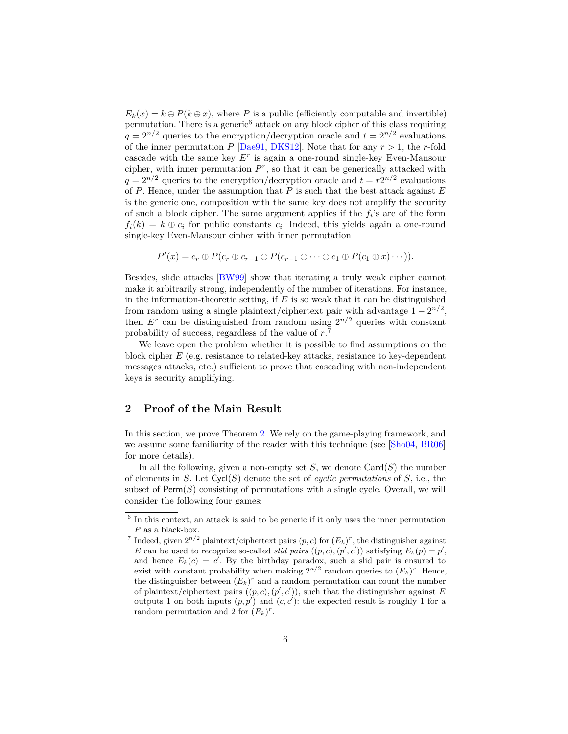$E_k(x) = k \oplus P(k \oplus x)$ , where *P* is a public (efficiently computable and invertible) permutation. There is a generic<sup>6</sup> attack on any block cipher of this class requiring  $q = 2^{n/2}$  queries to the encryption/decryption oracle and  $t = 2^{n/2}$  evaluations of the inner permutation  $P$  [\[Dae91,](#page-14-11) [DKS12\]](#page-14-10). Note that for any  $r > 1$ , the *r*-fold cascade with the same key  $E^r$  is again a one-round single-key Even-Mansour cipher, with inner permutation  $P^r$ , so that it can be generically attacked with  $q = 2^{n/2}$  queries to the encryption/decryption oracle and  $t = r2^{n/2}$  evaluations of *P*. Hence, under the assumption that *P* is such that the best attack against *E* is the generic one, composition with the same key does not amplify the security of such a block cipher. The same argument applies if the  $f_i$ 's are of the form  $f_i(k) = k \oplus c_i$  for public constants  $c_i$ . Indeed, this yields again a one-round single-key Even-Mansour cipher with inner permutation

$$
P'(x) = c_r \oplus P(c_r \oplus c_{r-1} \oplus P(c_{r-1} \oplus \cdots \oplus c_1 \oplus P(c_1 \oplus x) \cdots)).
$$

Besides, slide attacks [\[BW99\]](#page-14-12) show that iterating a truly weak cipher cannot make it arbitrarily strong, independently of the number of iterations. For instance, in the information-theoretic setting, if  $E$  is so weak that it can be distinguished from random using a single plaintext/ciphertext pair with advantage  $1 - 2^{n/2}$ , then  $E^r$  can be distinguished from random using  $2^{n/2}$  queries with constant probability of success, regardless of the value of *r*. 7

We leave open the problem whether it is possible to find assumptions on the block cipher *E* (e.g. resistance to related-key attacks, resistance to key-dependent messages attacks, etc.) sufficient to prove that cascading with non-independent keys is security amplifying.

### <span id="page-5-0"></span>**2 Proof of the Main Result**

In this section, we prove Theorem [2.](#page-3-0) We rely on the game-playing framework, and we assume some familiarity of the reader with this technique (see [\[Sho04,](#page-15-7) [BR06\]](#page-14-4) for more details).

In all the following, given a non-empty set  $S$ , we denote  $Card(S)$  the number of elements in *S*. Let Cycl(*S*) denote the set of *cyclic permutations* of *S*, i.e., the subset of  $Perm(S)$  consisting of permutations with a single cycle. Overall, we will consider the following four games:

<sup>&</sup>lt;sup>6</sup> In this context, an attack is said to be generic if it only uses the inner permutation *P* as a black-box.

<sup>&</sup>lt;sup>7</sup> Indeed, given  $2^{n/2}$  plaintext/ciphertext pairs  $(p, c)$  for  $(E_k)^r$ , the distinguisher against *E* can be used to recognize so-called *slid pairs*  $((p, c), (p', c'))$  satisfying  $E_k(p) = p'$ , and hence  $E_k(c) = c'$ . By the birthday paradox, such a slid pair is ensured to exist with constant probability when making  $2^{n/2}$  random queries to  $(E_k)^r$ . Hence, the distinguisher between  $(E_k)^r$  and a random permutation can count the number of plaintext/ciphertext pairs  $((p, c), (p', c'))$ , such that the distinguisher against *E* outputs 1 on both inputs  $(p, p')$  and  $(c, c')$ : the expected result is roughly 1 for a random permutation and 2 for  $(E_k)^r$ .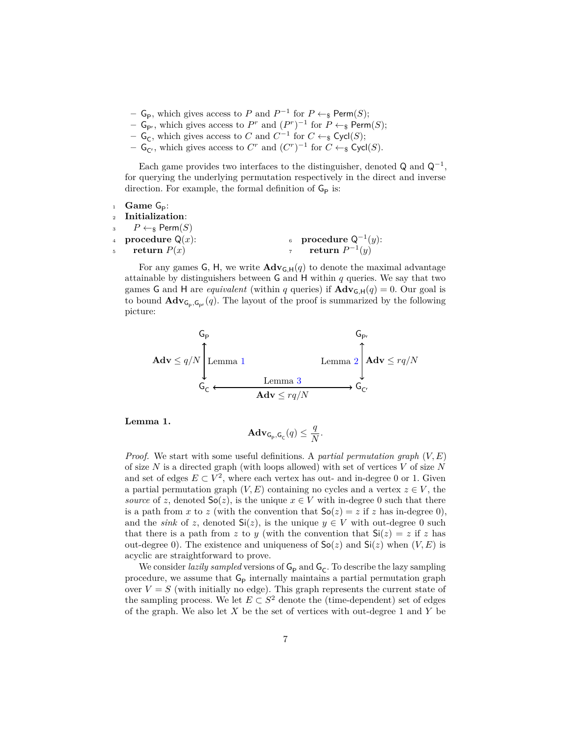- **− G**<sub>P</sub>, which gives access to *P* and  $P^{-1}$  for  $P \leftarrow_{\$} \text{Perm}(S);$
- **− G**<sub>Pr</sub>, which gives access to  $P^r$  and  $(P^r)^{-1}$  for  $P \leftarrow_{\$} \text{Perm}(S)$ ;
- **−**  $\mathsf{G}_{\mathsf{C}}$ , which gives access to *C* and  $C^{-1}$  for  $C \leftarrow_{\$} \mathsf{Cycl}(S);$
- **−**  $\mathsf{G}_{\mathsf{C}^r}$ , which gives access to  $C^r$  and  $(C^r)^{-1}$  for  $C \leftarrow_{\$} \mathsf{Cycl}(S)$ .

Each game provides two interfaces to the distinguisher, denoted  $\mathsf{Q}$  and  $\mathsf{Q}^{-1}$ , for querying the underlying permutation respectively in the direct and inverse direction. For example, the formal definition of  $G_P$  is:

| $\frac{1}{1}$ Game $G_{\text{D}}$ :      |                           |
|------------------------------------------|---------------------------|
| 2 Initialization:                        |                           |
| $B \leftarrow$ P $\leftarrow$ Perm $(S)$ |                           |
| 4 <b>procedure</b> $Q(x)$ :              | 6 procedure $Q^{-1}(y)$ : |
| $5$ return $P(x)$                        | $\tau$ return $P^{-1}(y)$ |

For any games G, H, we write  $\mathbf{Adv}_{G,H}(q)$  to denote the maximal advantage attainable by distinguishers between G and H within *q* queries. We say that two games G and H are *equivalent* (within *q* queries) if  $\mathbf{Adv}_{G,H}(q) = 0$ . Our goal is to bound  $\mathbf{Adv}_{\mathsf{G}_p, \mathsf{G}_{pr}}(q)$ . The layout of the proof is summarized by the following picture:

$$
\mathbf{Adv} \leq q/N \begin{cases} G_{\mathsf{P}^r} & G_{\mathsf{P}^r} \\ \text{Lemma 1} & \text{Lemma 2} \\ G_{\mathsf{C}} & \xrightarrow{\mathbf{Idv} \leq rq/N} G_{\mathsf{C}^r} \end{cases}
$$

<span id="page-6-0"></span>**Lemma 1.**

$$
\mathbf{Adv}_{\mathsf{G}_{\mathsf{P}},\mathsf{G}_{\mathsf{C}}}(q) \le \frac{q}{N}.
$$

*Proof.* We start with some useful definitions. A *partial permutation graph* (*V, E*) of size *N* is a directed graph (with loops allowed) with set of vertices *V* of size *N* and set of edges  $E \subset V^2$ , where each vertex has out- and in-degree 0 or 1. Given a partial permutation graph  $(V, E)$  containing no cycles and a vertex  $z \in V$ , the *source* of *z*, denoted  $\mathsf{So}(z)$ , is the unique  $x \in V$  with in-degree 0 such that there is a path from *x* to *z* (with the convention that  $\mathsf{So}(z) = z$  if *z* has in-degree 0), and the *sink* of *z*, denoted  $\mathsf{Si}(z)$ , is the unique  $y \in V$  with out-degree 0 such that there is a path from *z* to *y* (with the convention that  $Si(z) = z$  if *z* has out-degree 0). The existence and uniqueness of  $\mathsf{So}(z)$  and  $\mathsf{Si}(z)$  when  $(V, E)$  is acyclic are straightforward to prove.

We consider *lazily sampled* versions of  $G_P$  and  $G_C$ . To describe the lazy sampling procedure, we assume that  $\mathsf{G}_{\mathsf{P}}$  internally maintains a partial permutation graph over  $V = S$  (with initially no edge). This graph represents the current state of the sampling process. We let  $E \subset S^2$  denote the (time-dependent) set of edges of the graph. We also let *X* be the set of vertices with out-degree 1 and *Y* be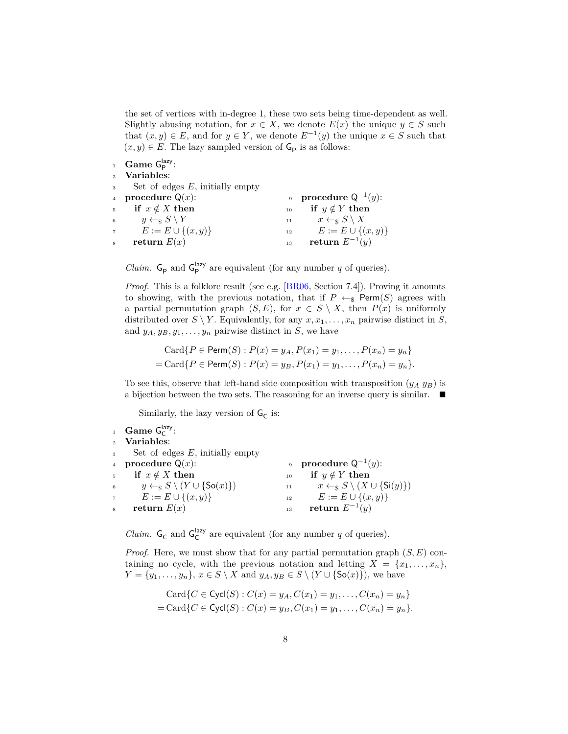the set of vertices with in-degree 1, these two sets being time-dependent as well. Slightly abusing notation, for  $x \in X$ , we denote  $E(x)$  the unique  $y \in S$  such that  $(x, y) \in E$ , and for  $y \in Y$ , we denote  $E^{-1}(y)$  the unique  $x \in S$  such that  $(x, y) \in E$ . The lazy sampled version of  $\mathsf{G}_{\mathsf{P}}$  is as follows:

<sup>1</sup> **Game**  $G_P^{\text{lazy}}$ :

|  |  |  | Variables: |
|--|--|--|------------|
|--|--|--|------------|

| 3              | Set of edges $E$ , initially empty |    |                                              |
|----------------|------------------------------------|----|----------------------------------------------|
| $\overline{4}$ | procedure $Q(x)$ :                 |    | 9 <b>procedure</b> $Q^{-1}(y)$ :             |
|                | 5 if $x \notin X$ then             |    | 10 if $y \notin Y$ then                      |
|                | 6 $y \leftarrow_S S \backslash Y$  |    | 11 $x \leftarrow_{\mathbb{S}} S \setminus X$ |
| $7 -$          | $E := E \cup \{(x, y)\}\$          | 12 | $E := E \cup \{(x, y)\}\$                    |
|                | return $E(x)$                      | 13 | return $E^{-1}(y)$                           |

*Claim.*  $G_P$  and  $G_P^{\text{lazy}}$  are equivalent (for any number *q* of queries).

*Proof.* This is a folklore result (see e.g. [\[BR06,](#page-14-4) Section 7.4]). Proving it amounts to showing, with the previous notation, that if  $P \leftarrow s$  Perm(*S*) agrees with a partial permutation graph  $(S, E)$ , for  $x \in S \setminus X$ , then  $P(x)$  is uniformly distributed over  $S \setminus Y$ . Equivalently, for any  $x, x_1, \ldots, x_n$  pairwise distinct in *S*, and  $y_A, y_B, y_1, \ldots, y_n$  pairwise distinct in *S*, we have

Card
$$
\{P \in \text{Perm}(S) : P(x) = y_A, P(x_1) = y_1, ..., P(x_n) = y_n\}
$$
  
= Card $\{P \in \text{Perm}(S) : P(x) = y_B, P(x_1) = y_1, ..., P(x_n) = y_n\}.$ 

To see this, observe that left-hand side composition with transposition  $(y_A, y_B)$  is a bijection between the two sets. The reasoning for an inverse query is similar.  $\blacksquare$ 

Similarly, the lazy version of  ${\sf G}_{\sf C}$  is:

|                | <sup>1</sup> Game $G_C^{\text{lazy}}$ :                               |    |                                                                |
|----------------|-----------------------------------------------------------------------|----|----------------------------------------------------------------|
|                | 2 Variables:                                                          |    |                                                                |
|                | $\sim$ Set of edges E, initially empty                                |    |                                                                |
|                | 4 <b>procedure</b> $Q(x)$ :                                           |    | 9 procedure $Q^{-1}(y)$ :                                      |
|                | 5 if $x \notin X$ then                                                |    | 10 if $y \notin Y$ then                                        |
|                | 6 $y \leftarrow_{\mathbb{S}} S \setminus (Y \cup \{\mathsf{So}(x)\})$ |    | 11 $x \leftarrow_{\mathbb{S}} S \setminus (X \cup \{S_i(y)\})$ |
|                | 7 $E := E \cup \{(x, y)\}\$                                           |    | <sup>12</sup> $E := E \cup \{(x, y)\}\$                        |
| $\overline{8}$ | return $E(x)$                                                         | 13 | return $E^{-1}(y)$                                             |

*Claim.*  $G_c$  and  $G_c^{\text{lazy}}$  are equivalent (for any number *q* of queries).

*Proof.* Here, we must show that for any partial permutation graph (*S, E*) containing no cycle, with the previous notation and letting  $X = \{x_1, \ldots, x_n\}$ ,  $Y = \{y_1, \ldots, y_n\}, x \in S \setminus X$  and  $y_A, y_B \in S \setminus (Y \cup \{\mathsf{So}(x)\})$ , we have

$$
\text{Card}\{C \in \text{Cycl}(S) : C(x) = y_A, C(x_1) = y_1, \dots, C(x_n) = y_n\}
$$
  
= 
$$
\text{Card}\{C \in \text{Cycl}(S) : C(x) = y_B, C(x_1) = y_1, \dots, C(x_n) = y_n\}.
$$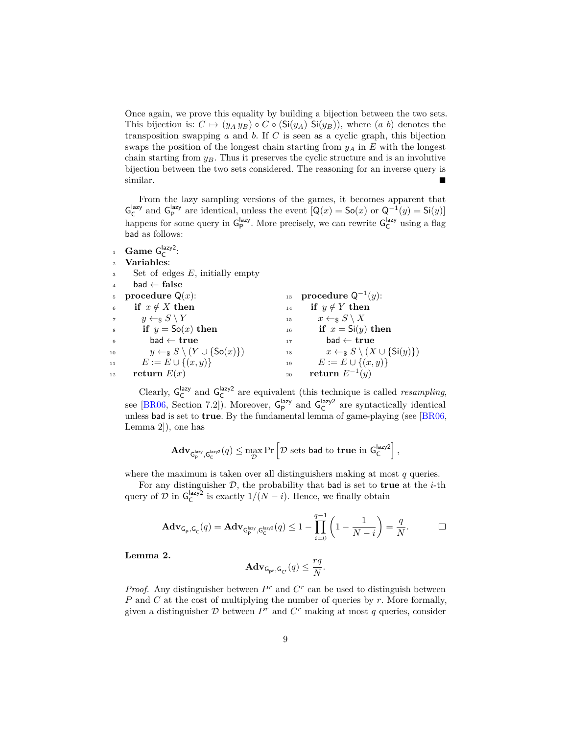Once again, we prove this equality by building a bijection between the two sets. This bijection is:  $C \mapsto (y_A y_B) \circ C \circ (\mathsf{Si}(y_A) \mathsf{Si}(y_B))$ , where (*a b*) denotes the transposition swapping *a* and *b*. If *C* is seen as a cyclic graph, this bijection swaps the position of the longest chain starting from  $y_A$  in  $E$  with the longest chain starting from *yB*. Thus it preserves the cyclic structure and is an involutive bijection between the two sets considered. The reasoning for an inverse query is similar.

From the lazy sampling versions of the games, it becomes apparent that  $\mathsf{G}_{\mathsf{C}}^{\mathsf{lazy}}$  and  $\mathsf{G}_{\mathsf{P}}^{\mathsf{lazy}}$  are identical, unless the event  $[\mathsf{Q}(x) = \mathsf{So}(x) \text{ or } \mathsf{Q}^{-1}(y) = \mathsf{Si}(y)]$ happens for some query in  $\mathsf{G}_{\mathsf{P}}^{\mathsf{lazy}}$ . More precisely, we can rewrite  $\mathsf{G}_{\mathsf{C}}^{\mathsf{lazy}}$  using a flag bad as follows:

<sup>1</sup> **Game**  $G_C^{\text{lazy2}}$ : **Variables**: Set of edges *E*, initially empty bad ← **false** procedure  $Q(x)$ : if  $x \notin X$  then  $y \leftarrow s S \ Y$ if  $y = So(x)$  then bad ← **true**  $y \leftarrow_{\$} S \setminus (Y \cup \{\textsf{So}(x)\})$  $E := E \cup \{(x, y)\}\$ **return**  $E(x)$ **procedure**  $Q^{-1}(y)$ : **if**  $y \notin Y$  **then**  $x \leftarrow_{\S} S \setminus X$ **if**  $x = \text{Si}(y)$  then bad ← **true**  $x \leftarrow_{\S} S \setminus (X \cup \{\textsf{Si}(y)\})$  $E := E \cup \{(x, y)\}\$ **return** *E*<sup>−</sup><sup>1</sup> (*y*)

Clearly,  $G_C^{\text{lazy}}$  and  $G_C^{\text{lazy}}$  are equivalent (this technique is called *resampling*, see [\[BR06,](#page-14-4) Section 7.2]). Moreover,  $G_P^{\text{lazy}}$  and  $G_C^{\text{lazy}}$  are syntactically identical unless bad is set to **true**. By the fundamental lemma of game-playing (see [\[BR06,](#page-14-4) Lemma 2]), one has

$$
\mathbf{Adv}_{\mathsf{G}_\mathsf{P}^{\text{lazy}},\mathsf{G}_\mathsf{C}^{\text{lazy2}}}(\mathit{q}) \leq \max_{\mathcal{D}} \Pr\left[\mathcal{D} \text{ sets } \text{bad to true in } \mathsf{G}_\mathsf{C}^{\text{lazy2}}\right],
$$

where the maximum is taken over all distinguishers making at most *q* queries.

For any distinguisher  $D$ , the probability that **bad** is set to **true** at the *i*-th query of  $\mathcal{D}$  in  $\mathsf{G}_{\mathsf{C}}^{\mathsf{lazy2}}$  is exactly  $1/(N-i)$ . Hence, we finally obtain

$$
\mathbf{Adv}_{\mathsf{G_p},\mathsf{G_c}}(q) = \mathbf{Adv}_{\mathsf{G_p}^{\mathrm{lazy}},\mathsf{G_c}^{\mathrm{lazy}}}(q) \leq 1 - \prod_{i=0}^{q-1} \left(1 - \frac{1}{N-i}\right) = \frac{q}{N}. \qquad \qquad \Box
$$

<span id="page-8-0"></span>**Lemma 2.**

$$
\mathbf{Adv}_{\mathsf{G}_{\mathrm{pr}},\mathsf{G}_{\mathrm{C}^r}}(q) \le \frac{rq}{N}.
$$

*Proof.* Any distinguisher between  $P^r$  and  $C^r$  can be used to distinguish between *P* and *C* at the cost of multiplying the number of queries by *r*. More formally, given a distinguisher  $D$  between  $P^r$  and  $C^r$  making at most  $q$  queries, consider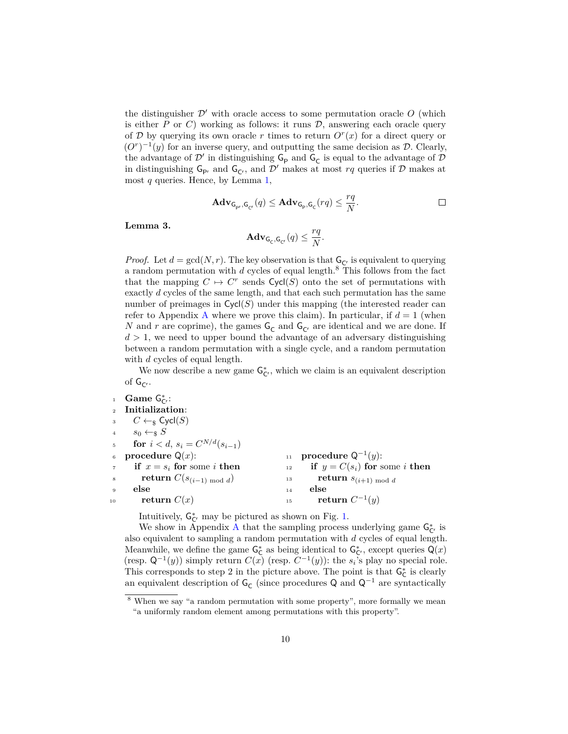the distinguisher  $\mathcal{D}'$  with oracle access to some permutation oracle  $O$  (which is either  $P$  or  $C$ ) working as follows: it runs  $D$ , answering each oracle query of D by querying its own oracle r times to return  $O<sup>r</sup>(x)$  for a direct query or  $(O<sup>r</sup>)<sup>-1</sup>(y)$  for an inverse query, and outputting the same decision as  $D$ . Clearly, the advantage of  $\mathcal{D}'$  in distinguishing  $\mathsf{G}_{\mathsf{P}}$  and  $\mathsf{G}_{\mathsf{C}}$  is equal to the advantage of  $\mathcal D$ in distinguishing  $G_{\text{Pr}}$  and  $G_{\text{Cr}}$ , and  $\mathcal{D}'$  makes at most  $rq$  queries if  $\mathcal D$  makes at most *q* queries. Hence, by Lemma [1,](#page-6-0)

$$
\mathbf{Adv}_{\mathsf{G}_{\mathsf{pr}},\mathsf{G}_{\mathsf{C}^r}}(q) \leq \mathbf{Adv}_{\mathsf{G}_{\mathsf{p}},\mathsf{G}_{\mathsf{C}}}(rq) \leq \frac{rq}{N}.
$$

<span id="page-9-0"></span>**Lemma 3.**

$$
\mathbf{Adv}_{\mathsf{G}_{\mathsf{C}},\mathsf{G}_{\mathsf{C}^r}}(q) \le \frac{rq}{N}.
$$

*Proof.* Let  $d = \gcd(N, r)$ . The key observation is that  $G_{\zeta}$  is equivalent to querying a random permutation with *d* cycles of equal length.<sup>8</sup> This follows from the fact that the mapping  $C \mapsto C^r$  sends  $Cycl(S)$  onto the set of permutations with exactly *d* cycles of the same length, and that each such permutation has the same number of preimages in  $Cycl(S)$  under this mapping (the interested reader can refer to [A](#page-15-8)ppendix A where we prove this claim). In particular, if  $d = 1$  (when *N* and *r* are coprime), the games  $G_C$  and  $G_{C}$  are identical and we are done. If  $d > 1$ , we need to upper bound the advantage of an adversary distinguishing between a random permutation with a single cycle, and a random permutation with *d* cycles of equal length.

We now describe a new game  $G_{\mathsf{C}^*}^*$ , which we claim is an equivalent description of  $G_{C}$ .

 $\frac{1}{1}$  **Game**  $G^*_{C}$ : <sup>2</sup> **Initialization**:  $C \leftarrow_{\$} \mathsf{Cycl}(S)$  $s_0 \leftarrow s S$ 5 **for**  $i < d$ ,  $s_i = C^{N/d}(s_{i-1})$ procedure  $Q(x)$ : **if**  $x = s_i$  for some *i* then **return**  $C(s_{(i-1) \bmod d})$ <sup>9</sup> **else** 10 **return**  $C(x)$ <sup>11</sup> **procedure** Q<sup>−</sup><sup>1</sup> (*y*):  $\mathbf{i}$ **12 if**  $y = C(s_i)$  for some *i* then 13 **return**  $s_{(i+1) \bmod d}$ <sup>14</sup> **else** 15 **return**  $C^{-1}(y)$ 

Intuitively,  $G_{C}^*$  may be pictured as shown on Fig. [1.](#page-10-0)

We show in [A](#page-15-8)ppendix A that the sampling process underlying game  $G_{C}^*$  is also equivalent to sampling a random permutation with *d* cycles of equal length. Meanwhile, we define the game  $G_C^*$  as being identical to  $G_{C'}^*$ , except queries  $Q(x)$ (resp.  $Q^{-1}(y)$ ) simply return  $C(x)$  (resp.  $C^{-1}(y)$ ): the  $s_i$ 's play no special role. This corresponds to step 2 in the picture above. The point is that  $G_C^*$  is clearly an equivalent description of  $\mathsf{G}_{\mathsf{C}}$  (since procedures  $\mathsf{Q}$  and  $\mathsf{Q}^{-1}$  are syntactically

<sup>8</sup> When we say "a random permutation with some property", more formally we mean "a uniformly random element among permutations with this property".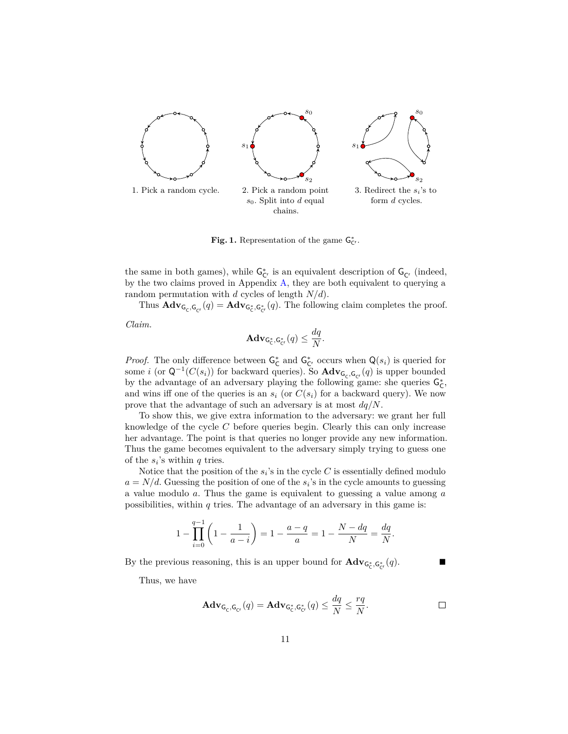

<span id="page-10-0"></span>Fig. 1. Representation of the game  $G_{C}^*$ .

the same in both games), while  $G_{\mathsf{C}^r}^*$  is an equivalent description of  $G_{\mathsf{C}^r}$  (indeed, by the two claims proved in Appendix [A,](#page-15-8) they are both equivalent to querying a random permutation with *d* cycles of length *N/d*).

Thus  $\mathbf{Adv}_{\mathsf{G}_c,\mathsf{G}_{cr}}(q) = \mathbf{Adv}_{\mathsf{G}_c^*,\mathsf{G}_{cr}^*}(q)$ . The following claim completes the proof.

*Claim.*

$$
\mathbf{Adv}_{\mathsf{G}_\mathsf{C}^*,\mathsf{G}_{\mathsf{C}^*}^*}(q) \leq \frac{dq}{N}.
$$

*Proof.* The only difference between  $G^*_{\mathsf{C}}$  and  $G^*_{\mathsf{C}'}$  occurs when  $\mathsf{Q}(s_i)$  is queried for some *i* (or  $Q^{-1}(C(s_i))$  for backward queries). So  $Adv_{G_c,G_{C'}}(q)$  is upper bounded by the advantage of an adversary playing the following game: she queries  $G_C^*$ , and wins iff one of the queries is an  $s_i$  (or  $C(s_i)$  for a backward query). We now prove that the advantage of such an adversary is at most *dq/N*.

To show this, we give extra information to the adversary: we grant her full knowledge of the cycle *C* before queries begin. Clearly this can only increase her advantage. The point is that queries no longer provide any new information. Thus the game becomes equivalent to the adversary simply trying to guess one of the  $s_i$ 's within  $q$  tries.

Notice that the position of the  $s_i$ 's in the cycle  $C$  is essentially defined modulo  $a = N/d$ . Guessing the position of one of the  $s_i$ 's in the cycle amounts to guessing a value modulo *a*. Thus the game is equivalent to guessing a value among *a* possibilities, within *q* tries. The advantage of an adversary in this game is:

$$
1 - \prod_{i=0}^{q-1} \left( 1 - \frac{1}{a-i} \right) = 1 - \frac{a-q}{a} = 1 - \frac{N - dq}{N} = \frac{dq}{N}.
$$

By the previous reasoning, this is an upper bound for  $\mathbf{Adv}_{G_c^*,G_{cr}^*}(q)$ .

Thus, we have

$$
\mathbf{Adv}_{\mathsf{G}_{\mathsf{C}},\mathsf{G}_{\mathsf{C}^*}}(q) = \mathbf{Adv}_{\mathsf{G}_{\mathsf{C}}^*,\mathsf{G}_{\mathsf{C}^*}^*}(q) \le \frac{dq}{N} \le \frac{rq}{N}.
$$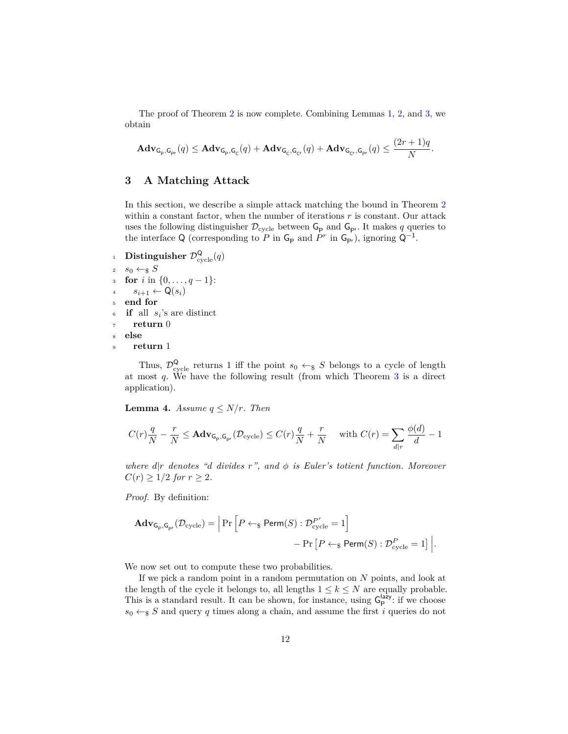The proof of Theorem [2](#page-3-0) is now complete. Combining Lemmas [1,](#page-6-0) [2,](#page-8-0) and [3,](#page-9-0) we obtain

$$
\mathbf{Adv}_{\mathsf{G}_{\mathsf{p}},\mathsf{G}_{\mathsf{p}r}}(q) \leq \mathbf{Adv}_{\mathsf{G}_{\mathsf{p}},\mathsf{G}_{\mathsf{C}}}(q) + \mathbf{Adv}_{\mathsf{G}_{\mathsf{C}},\mathsf{G}_{\mathsf{C}r}}(q) + \mathbf{Adv}_{\mathsf{G}_{\mathsf{C}r},\mathsf{G}_{\mathsf{p}r}}(q) \leq \frac{(2r+1)q}{N}.
$$

# <span id="page-11-0"></span>**3 A Matching Attack**

In this section, we describe a simple attack matching the bound in Theorem [2](#page-3-0) within a constant factor, when the number of iterations *r* is constant. Our attack uses the following distinguisher  $\mathcal{D}_{\text{cycle}}$  between  $\mathsf{G}_{\mathsf{P}}$  and  $\mathsf{G}_{\mathsf{P}^r}$ . It makes  $q$  queries to the interface Q (corresponding to *P* in  $G_P$  and *P<sup>r</sup>* in  $G_{P}$ ), ignoring  $Q^{-1}$ .

1 **Distinguisher**  $\mathcal{D}^{\mathsf{Q}}_{\text{cycle}}(q)$ 2  $s_0 \leftarrow_s S$ <sup>3</sup> **for** *i* in {0*, . . . , q* − 1}:  $s_{i+1} \leftarrow \mathsf{Q}(s_i)$ <sup>5</sup> **end for** <sup>6</sup> **if** all *s<sup>i</sup>* 's are distinct return 0 <sup>8</sup> **else** <sup>9</sup> **return** 1

Thus,  $\mathcal{D}^{\mathsf{Q}}_{\text{cycle}}$  returns 1 iff the point  $s_0 \leftarrow_{\$} S$  belongs to a cycle of length at most *q*. We have the following result (from which Theorem [3](#page-4-0) is a direct application).

**Lemma 4.** *Assume*  $q \leq N/r$ *. Then* 

$$
C(r)\frac{q}{N} - \frac{r}{N} \leq \mathbf{Adv}_{\mathsf{G_p},\mathsf{G_{pr}}}(\mathcal{D}_{\text{cycle}}) \leq C(r)\frac{q}{N} + \frac{r}{N} \quad \text{ with } C(r) = \sum_{d \mid r} \frac{\phi(d)}{d} - 1
$$

*where d*|*r denotes "d divides r", and φ is Euler's totient function. Moreover*  $C(r) \geq 1/2$  *for*  $r \geq 2$ *.* 

*Proof.* By definition:

$$
\mathbf{Adv}_{\mathsf{G}_{\mathsf{P}},\mathsf{G}_{\mathsf{pr}}}(\mathcal{D}_{\text{cycle}}) = \left| \Pr \left[ P \leftarrow_{\$} \mathsf{Perm}(S) : \mathcal{D}_{\text{cycle}}^{P^r} = 1 \right] - \Pr \left[ P \leftarrow_{\$} \mathsf{Perm}(S) : \mathcal{D}_{\text{cycle}}^{P} = 1 \right] \right|.
$$

We now set out to compute these two probabilities.

If we pick a random point in a random permutation on *N* points, and look at the length of the cycle it belongs to, all lengths  $1 \leq k \leq N$  are equally probable. This is a standard result. It can be shown, for instance, using  $G_P^{\text{lazy}}$ : if we choose  $s_0 \leftarrow s S$  and query *q* times along a chain, and assume the first *i* queries do not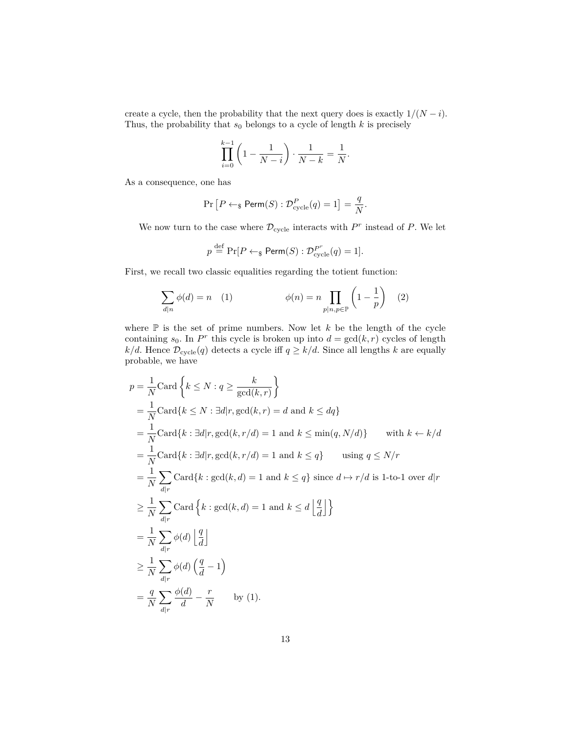create a cycle, then the probability that the next query does is exactly  $1/(N - i)$ . Thus, the probability that  $s_0$  belongs to a cycle of length  $k$  is precisely

$$
\prod_{i=0}^{k-1} \left( 1 - \frac{1}{N-i} \right) \cdot \frac{1}{N-k} = \frac{1}{N}.
$$

As a consequence, one has

$$
\Pr\left[P \leftarrow_{\$} \textsf{Perm}(S) : \mathcal{D}_{\text{cycle}}^P(q) = 1\right] = \frac{q}{N}.
$$

We now turn to the case where  $\mathcal{D}_{\text{cycle}}$  interacts with  $P^r$  instead of  $P$ . We let

$$
p \stackrel{\text{def}}{=} \Pr[P \leftarrow_{\$} \text{Perm}(S) : \mathcal{D}_{\text{cycle}}^{P^r}(q) = 1].
$$

First, we recall two classic equalities regarding the totient function:

$$
\sum_{d|n} \phi(d) = n \quad (1) \qquad \phi(n) = n \prod_{p|n, p \in \mathbb{P}} \left( 1 - \frac{1}{p} \right) \quad (2)
$$

where  $\mathbb P$  is the set of prime numbers. Now let  $k$  be the length of the cycle containing  $s_0$ . In  $P^r$  this cycle is broken up into  $d = \gcd(k, r)$  cycles of length *k/d*. Hence  $\mathcal{D}_{\text{cycle}}(q)$  detects a cycle iff  $q \ge k/d$ . Since all lengths *k* are equally probable, we have

$$
p = \frac{1}{N} \text{Card}\left\{k \leq N : q \geq \frac{k}{\text{gcd}(k,r)}\right\}
$$
  
\n
$$
= \frac{1}{N} \text{Card}\left\{k \leq N : \exists d | r, \text{gcd}(k,r) = d \text{ and } k \leq d q\right\}
$$
  
\n
$$
= \frac{1}{N} \text{Card}\left\{k : \exists d | r, \text{gcd}(k, r/d) = 1 \text{ and } k \leq \min(q, N/d)\right\} \quad \text{with } k \leftarrow k/d
$$
  
\n
$$
= \frac{1}{N} \text{Card}\left\{k : \exists d | r, \text{gcd}(k, r/d) = 1 \text{ and } k \leq q\} \quad \text{using } q \leq N/r
$$
  
\n
$$
= \frac{1}{N} \sum_{d | r} \text{Card}\left\{k : \text{gcd}(k, d) = 1 \text{ and } k \leq q\right\} \text{ since } d \mapsto r/d \text{ is 1-to-1 over } d|r
$$
  
\n
$$
\geq \frac{1}{N} \sum_{d | r} \text{Card}\left\{k : \text{gcd}(k, d) = 1 \text{ and } k \leq d \left\lfloor \frac{q}{d} \right\rfloor\right\}
$$
  
\n
$$
= \frac{1}{N} \sum_{d | r} \phi(d) \left\lfloor \frac{q}{d} \right\rfloor
$$
  
\n
$$
\geq \frac{1}{N} \sum_{d | r} \phi(d) \left(\frac{q}{d} - 1\right)
$$
  
\n
$$
= \frac{q}{N} \sum_{d | r} \frac{\phi(d)}{d} - \frac{r}{N} \quad \text{by (1)}.
$$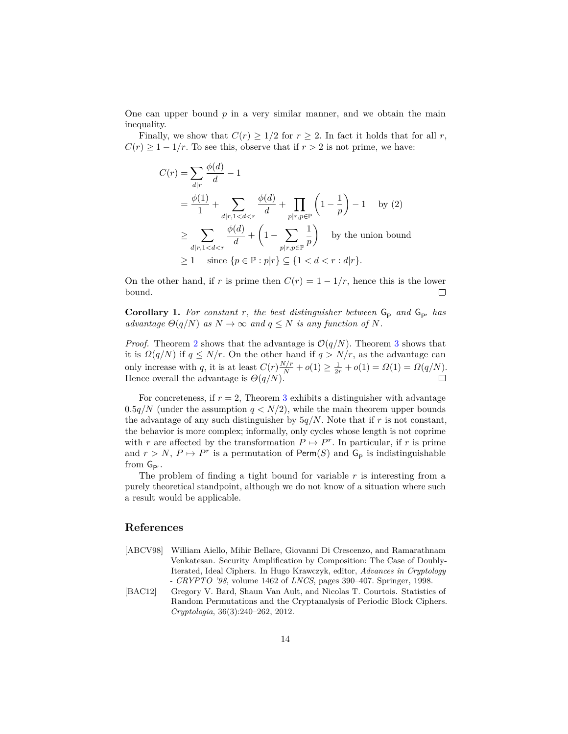One can upper bound  $p$  in a very similar manner, and we obtain the main inequality.

Finally, we show that  $C(r) \geq 1/2$  for  $r \geq 2$ . In fact it holds that for all *r*,  $C(r) \geq 1 - 1/r$ . To see this, observe that if  $r > 2$  is not prime, we have:

$$
C(r) = \sum_{d|r} \frac{\phi(d)}{d} - 1
$$
  
=  $\frac{\phi(1)}{1} + \sum_{d|r, 1 < d < r} \frac{\phi(d)}{d} + \prod_{p|r, p \in \mathbb{P}} \left(1 - \frac{1}{p}\right) - 1$  by (2)  

$$
\geq \sum_{d|r, 1 < d < r} \frac{\phi(d)}{d} + \left(1 - \sum_{p|r, p \in \mathbb{P}} \frac{1}{p}\right)
$$
 by the union bound  

$$
\geq 1 \quad \text{since } \{p \in \mathbb{P} : p|r\} \subseteq \{1 < d < r : d|r\}.
$$

On the other hand, if *r* is prime then  $C(r) = 1 - 1/r$ , hence this is the lower bound.  $\Box$ 

**Corollary 1.** For constant r, the best distinguisher between  $G_{\mathsf{P}}$  and  $G_{\mathsf{P}}$  has *advantage*  $\Theta(q/N)$  *as*  $N \to \infty$  *and*  $q \leq N$  *is any function of*  $N$ *.* 

*Proof.* Theorem [2](#page-3-0) shows that the advantage is  $\mathcal{O}(q/N)$ . Theorem [3](#page-4-0) shows that it is  $\Omega(q/N)$  if  $q \leq N/r$ . On the other hand if  $q > N/r$ , as the advantage can only increase with *q*, it is at least  $C(r) \frac{N/r}{N} + o(1) \ge \frac{1}{2r} + o(1) = \Omega(1) = \Omega(q/N)$ . Hence overall the advantage is  $\Theta(q/N)$ .

For concreteness, if  $r = 2$ , Theorem [3](#page-4-0) exhibits a distinguisher with advantage  $0.5q/N$  (under the assumption  $q < N/2$ ), while the main theorem upper bounds the advantage of any such distinguisher by  $5q/N$ . Note that if *r* is not constant, the behavior is more complex; informally, only cycles whose length is not coprime with *r* are affected by the transformation  $P \mapsto P^r$ . In particular, if *r* is prime and  $r > N$ ,  $P \mapsto P^r$  is a permutation of Perm(*S*) and  $G_P$  is indistinguishable from  $G_{\text{pr}}$ .

The problem of finding a tight bound for variable *r* is interesting from a purely theoretical standpoint, although we do not know of a situation where such a result would be applicable.

### **References**

- <span id="page-13-0"></span>[ABCV98] William Aiello, Mihir Bellare, Giovanni Di Crescenzo, and Ramarathnam Venkatesan. Security Amplification by Composition: The Case of Doubly-Iterated, Ideal Ciphers. In Hugo Krawczyk, editor, *Advances in Cryptology - CRYPTO '98*, volume 1462 of *LNCS*, pages 390–407. Springer, 1998.
- <span id="page-13-1"></span>[BAC12] Gregory V. Bard, Shaun Van Ault, and Nicolas T. Courtois. Statistics of Random Permutations and the Cryptanalysis of Periodic Block Ciphers. *Cryptologia*, 36(3):240–262, 2012.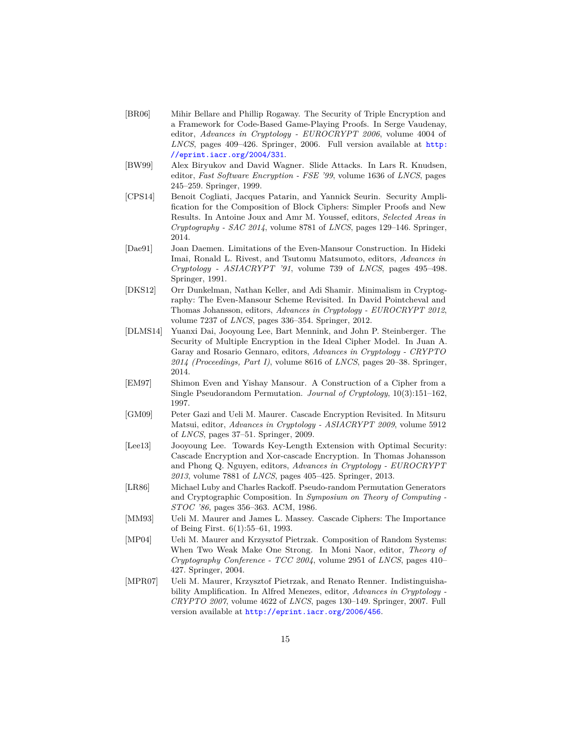- <span id="page-14-4"></span>[BR06] Mihir Bellare and Phillip Rogaway. The Security of Triple Encryption and a Framework for Code-Based Game-Playing Proofs. In Serge Vaudenay, editor, *Advances in Cryptology - EUROCRYPT 2006*, volume 4004 of *LNCS*, pages 409–426. Springer, 2006. Full version available at [http:](http://eprint.iacr.org/2004/331) [//eprint.iacr.org/2004/331](http://eprint.iacr.org/2004/331).
- <span id="page-14-12"></span>[BW99] Alex Biryukov and David Wagner. Slide Attacks. In Lars R. Knudsen, editor, *Fast Software Encryption - FSE '99*, volume 1636 of *LNCS*, pages 245–259. Springer, 1999.
- <span id="page-14-3"></span>[CPS14] Benoit Cogliati, Jacques Patarin, and Yannick Seurin. Security Amplification for the Composition of Block Ciphers: Simpler Proofs and New Results. In Antoine Joux and Amr M. Youssef, editors, *Selected Areas in Cryptography - SAC 2014*, volume 8781 of *LNCS*, pages 129–146. Springer, 2014.
- <span id="page-14-11"></span>[Dae91] Joan Daemen. Limitations of the Even-Mansour Construction. In Hideki Imai, Ronald L. Rivest, and Tsutomu Matsumoto, editors, *Advances in Cryptology - ASIACRYPT '91*, volume 739 of *LNCS*, pages 495–498. Springer, 1991.
- <span id="page-14-10"></span>[DKS12] Orr Dunkelman, Nathan Keller, and Adi Shamir. Minimalism in Cryptography: The Even-Mansour Scheme Revisited. In David Pointcheval and Thomas Johansson, editors, *Advances in Cryptology - EUROCRYPT 2012*, volume 7237 of *LNCS*, pages 336–354. Springer, 2012.
- <span id="page-14-7"></span>[DLMS14] Yuanxi Dai, Jooyoung Lee, Bart Mennink, and John P. Steinberger. The Security of Multiple Encryption in the Ideal Cipher Model. In Juan A. Garay and Rosario Gennaro, editors, *Advances in Cryptology - CRYPTO 2014 (Proceedings, Part I)*, volume 8616 of *LNCS*, pages 20–38. Springer, 2014.
- <span id="page-14-9"></span>[EM97] Shimon Even and Yishay Mansour. A Construction of a Cipher from a Single Pseudorandom Permutation. *Journal of Cryptology*, 10(3):151–162, 1997.
- <span id="page-14-5"></span>[GM09] Peter Gazi and Ueli M. Maurer. Cascade Encryption Revisited. In Mitsuru Matsui, editor, *Advances in Cryptology - ASIACRYPT 2009*, volume 5912 of *LNCS*, pages 37–51. Springer, 2009.
- <span id="page-14-6"></span>[Lee13] Jooyoung Lee. Towards Key-Length Extension with Optimal Security: Cascade Encryption and Xor-cascade Encryption. In Thomas Johansson and Phong Q. Nguyen, editors, *Advances in Cryptology - EUROCRYPT 2013*, volume 7881 of *LNCS*, pages 405–425. Springer, 2013.
- <span id="page-14-0"></span>[LR86] Michael Luby and Charles Rackoff. Pseudo-random Permutation Generators and Cryptographic Composition. In *Symposium on Theory of Computing - STOC '86*, pages 356–363. ACM, 1986.
- <span id="page-14-8"></span>[MM93] Ueli M. Maurer and James L. Massey. Cascade Ciphers: The Importance of Being First. 6(1):55–61, 1993.
- <span id="page-14-1"></span>[MP04] Ueli M. Maurer and Krzysztof Pietrzak. Composition of Random Systems: When Two Weak Make One Strong. In Moni Naor, editor, *Theory of Cryptography Conference - TCC 2004*, volume 2951 of *LNCS*, pages 410– 427. Springer, 2004.
- <span id="page-14-2"></span>[MPR07] Ueli M. Maurer, Krzysztof Pietrzak, and Renato Renner. Indistinguishability Amplification. In Alfred Menezes, editor, *Advances in Cryptology - CRYPTO 2007*, volume 4622 of *LNCS*, pages 130–149. Springer, 2007. Full version available at <http://eprint.iacr.org/2006/456>.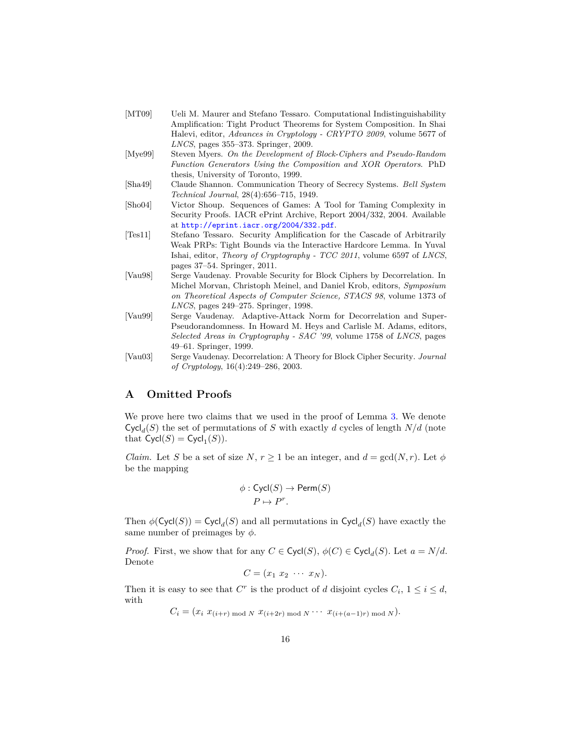- <span id="page-15-1"></span>[MT09] Ueli M. Maurer and Stefano Tessaro. Computational Indistinguishability Amplification: Tight Product Theorems for System Composition. In Shai Halevi, editor, *Advances in Cryptology - CRYPTO 2009*, volume 5677 of *LNCS*, pages 355–373. Springer, 2009.
- <span id="page-15-0"></span>[Mye99] Steven Myers. *On the Development of Block-Ciphers and Pseudo-Random Function Generators Using the Composition and XOR Operators*. PhD thesis, University of Toronto, 1999.
- <span id="page-15-6"></span>[Sha49] Claude Shannon. Communication Theory of Secrecy Systems. *Bell System Technical Journal*, 28(4):656–715, 1949.
- <span id="page-15-7"></span>[Sho04] Victor Shoup. Sequences of Games: A Tool for Taming Complexity in Security Proofs. IACR ePrint Archive, Report 2004/332, 2004. Available at <http://eprint.iacr.org/2004/332.pdf>.
- <span id="page-15-2"></span>[Tes11] Stefano Tessaro. Security Amplification for the Cascade of Arbitrarily Weak PRPs: Tight Bounds via the Interactive Hardcore Lemma. In Yuval Ishai, editor, *Theory of Cryptography - TCC 2011*, volume 6597 of *LNCS*, pages 37–54. Springer, 2011.
- <span id="page-15-3"></span>[Vau98] Serge Vaudenay. Provable Security for Block Ciphers by Decorrelation. In Michel Morvan, Christoph Meinel, and Daniel Krob, editors, *Symposium on Theoretical Aspects of Computer Science, STACS 98*, volume 1373 of *LNCS*, pages 249–275. Springer, 1998.
- <span id="page-15-4"></span>[Vau99] Serge Vaudenay. Adaptive-Attack Norm for Decorrelation and Super-Pseudorandomness. In Howard M. Heys and Carlisle M. Adams, editors, *Selected Areas in Cryptography - SAC '99*, volume 1758 of *LNCS*, pages 49–61. Springer, 1999.
- <span id="page-15-5"></span>[Vau03] Serge Vaudenay. Decorrelation: A Theory for Block Cipher Security. *Journal of Cryptology*, 16(4):249–286, 2003.

## <span id="page-15-8"></span>**A Omitted Proofs**

We prove here two claims that we used in the proof of Lemma [3.](#page-9-0) We denote  $Cycl<sub>d</sub>(S)$  the set of permutations of *S* with exactly *d* cycles of length  $N/d$  (note that  $\mathsf{Cycl}(S) = \mathsf{Cycl}_1(S)$ ).

*Claim.* Let *S* be a set of size *N*,  $r \ge 1$  be an integer, and  $d = \gcd(N, r)$ . Let  $\phi$ be the mapping

$$
\phi : \mathsf{Cycl}(S) \to \mathsf{Perm}(S)
$$
  

$$
P \mapsto P^r.
$$

Then  $\phi(\text{Cycl}(S)) = \text{Cycl}_d(S)$  and all permutations in  $\text{Cycl}_d(S)$  have exactly the same number of preimages by *φ*.

*Proof.* First, we show that for any  $C \in \text{Cycl}(S)$ ,  $\phi(C) \in \text{Cycl}_d(S)$ . Let  $a = N/d$ . Denote

$$
C=(x_1\ x_2\ \cdots\ x_N).
$$

Then it is easy to see that  $C^r$  is the product of *d* disjoint cycles  $C_i$ ,  $1 \le i \le d$ , with

$$
C_i = (x_i \ x_{(i+r) \bmod N} \ x_{(i+2r) \bmod N} \cdots \ x_{(i+(a-1)r) \bmod N}).
$$